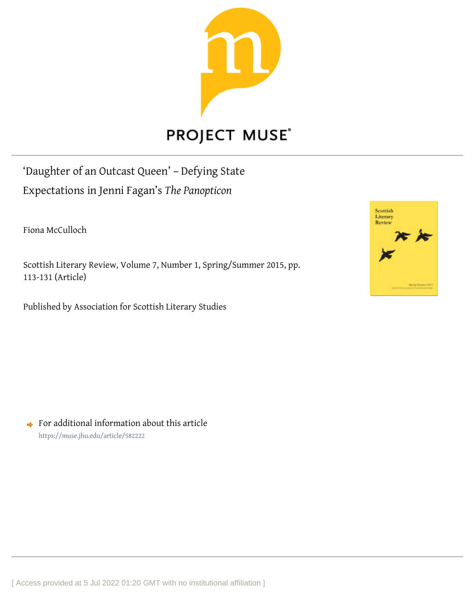

## **PROJECT MUSE®**

'Daughter of an Outcast Queen' – Defying State Expectations in Jenni Fagan's *The Panopticon*

Fiona McCulloch

Scottish Literary Review, Volume 7, Number 1, Spring/Summer 2015, pp. 113-131 (Article)

Published by Association for Scottish Literary Studies



 $\rightarrow$  For additional information about this article <https://muse.jhu.edu/article/582222>

[ Access provided at 5 Jul 2022 01:20 GMT with no institutional affiliation ]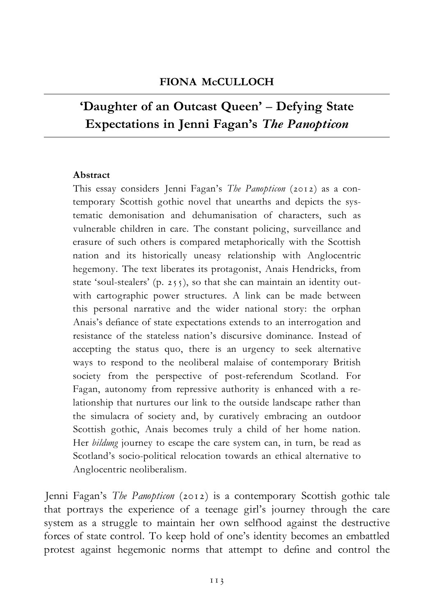## 'Daughter of an Outcast Queen' - Defying State Expectations in Jenni Fagan's The Panopticon

## Abstract

This essay considers Jenni Fagan's The Panopticon (2012) as a contemporary Scottish gothic novel that unearths and depicts the systematic demonisation and dehumanisation of characters, such as vulnerable children in care. The constant policing, surveillance and erasure of such others is compared metaphorically with the Scottish nation and its historically uneasy relationship with Anglocentric hegemony. The text liberates its protagonist, Anais Hendricks, from state 'soul-stealers' (p. 255), so that she can maintain an identity outwith cartographic power structures. A link can be made between this personal narrative and the wider national story: the orphan Anais's defiance of state expectations extends to an interrogation and resistance of the stateless nation's discursive dominance. Instead of accepting the status quo, there is an urgency to seek alternative ways to respond to the neoliberal malaise of contemporary British society from the perspective of post-referendum Scotland. For Fagan, autonomy from repressive authority is enhanced with a relationship that nurtures our link to the outside landscape rather than the simulacra of society and, by curatively embracing an outdoor Scottish gothic, Anais becomes truly a child of her home nation. Her bildung journey to escape the care system can, in turn, be read as Scotland's socio-political relocation towards an ethical alternative to Anglocentric neoliberalism.

Jenni Fagan's The Panopticon (2012) is a contemporary Scottish gothic tale that portrays the experience of a teenage girl's journey through the care system as a struggle to maintain her own selfhood against the destructive forces of state control. To keep hold of one's identity becomes an embattled protest against hegemonic norms that attempt to define and control the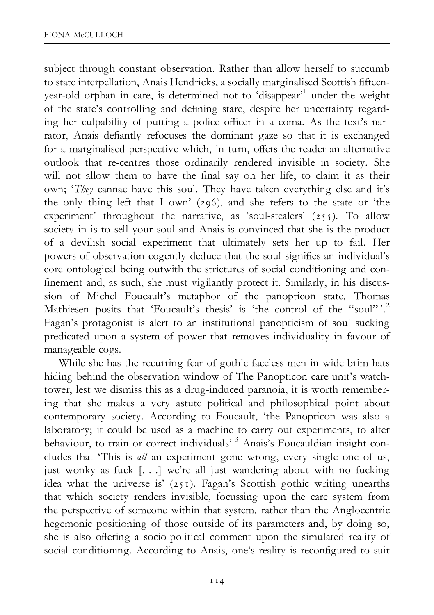subject through constant observation. Rather than allow herself to succumb to state interpellation, Anais Hendricks, a socially marginalised Scottish fifteenyear-old orphan in care, is determined not to 'disappear'1 under the weight of the state's controlling and defining stare, despite her uncertainty regarding her culpability of putting a police officer in a coma. As the text's narrator, Anais defiantly refocuses the dominant gaze so that it is exchanged for a marginalised perspective which, in turn, offers the reader an alternative outlook that re-centres those ordinarily rendered invisible in society. She will not allow them to have the final say on her life, to claim it as their own; 'They cannae have this soul. They have taken everything else and it's the only thing left that I own' (296), and she refers to the state or 'the experiment' throughout the narrative, as 'soul-stealers' (255). To allow society in is to sell your soul and Anais is convinced that she is the product of a devilish social experiment that ultimately sets her up to fail. Her powers of observation cogently deduce that the soul signifies an individual's core ontological being outwith the strictures of social conditioning and con finement and, as such, she must vigilantly protect it. Similarly, in his discussion of Michel Foucault's metaphor of the panopticon state, Thomas Mathiesen posits that 'Foucault's thesis' is 'the control of the "soul"'.<sup>2</sup> Fagan's protagonist is alert to an institutional panopticism of soul sucking predicated upon a system of power that removes individuality in favour of manageable cogs.

While she has the recurring fear of gothic faceless men in wide-brim hats hiding behind the observation window of The Panopticon care unit's watchtower, lest we dismiss this as a drug-induced paranoia, it is worth remembering that she makes a very astute political and philosophical point about contemporary society. According to Foucault, 'the Panopticon was also a laboratory; it could be used as a machine to carry out experiments, to alter behaviour, to train or correct individuals'.<sup>3</sup> Anais's Foucauldian insight concludes that 'This is all an experiment gone wrong, every single one of us, just wonky as fuck [. . .] we're all just wandering about with no fucking idea what the universe is' (251). Fagan's Scottish gothic writing unearths that which society renders invisible, focussing upon the care system from the perspective of someone within that system, rather than the Anglocentric hegemonic positioning of those outside of its parameters and, by doing so, she is also offering a socio-political comment upon the simulated reality of social conditioning. According to Anais, one's reality is reconfigured to suit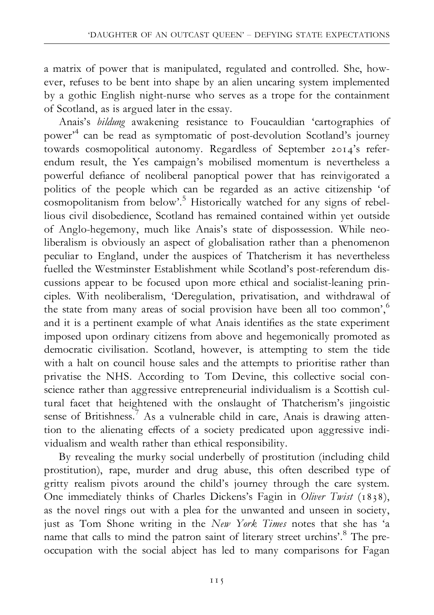a matrix of power that is manipulated, regulated and controlled. She, however, refuses to be bent into shape by an alien uncaring system implemented by a gothic English night-nurse who serves as a trope for the containment of Scotland, as is argued later in the essay.

Anais's bildung awakening resistance to Foucauldian 'cartographies of power'4 can be read as symptomatic of post-devolution Scotland's journey towards cosmopolitical autonomy. Regardless of September 2014's referendum result, the Yes campaign's mobilised momentum is nevertheless a powerful de¢ance of neoliberal panoptical power that has reinvigorated a politics of the people which can be regarded as an active citizenship 'of cosmopolitanism from below'.<sup>5</sup> Historically watched for any signs of rebellious civil disobedience, Scotland has remained contained within yet outside of Anglo-hegemony, much like Anais's state of dispossession. While neoliberalism is obviously an aspect of globalisation rather than a phenomenon peculiar to England, under the auspices of Thatcherism it has nevertheless fuelled the Westminster Establishment while Scotland's post-referendum discussions appear to be focused upon more ethical and socialist-leaning principles. With neoliberalism, 'Deregulation, privatisation, and withdrawal of the state from many areas of social provision have been all too common',<sup>6</sup> and it is a pertinent example of what Anais identifies as the state experiment imposed upon ordinary citizens from above and hegemonically promoted as democratic civilisation. Scotland, however, is attempting to stem the tide with a halt on council house sales and the attempts to prioritise rather than privatise the NHS. According to Tom Devine, this collective social conscience rather than aggressive entrepreneurial individualism is a Scottish cultural facet that heightened with the onslaught of Thatcherism's jingoistic sense of Britishness.<sup>7</sup> As a vulnerable child in care, Anais is drawing attention to the alienating effects of a society predicated upon aggressive individualism and wealth rather than ethical responsibility.

By revealing the murky social underbelly of prostitution (including child prostitution), rape, murder and drug abuse, this often described type of gritty realism pivots around the child's journey through the care system. One immediately thinks of Charles Dickens's Fagin in Oliver Twist (1838), as the novel rings out with a plea for the unwanted and unseen in society, just as Tom Shone writing in the New York Times notes that she has 'a name that calls to mind the patron saint of literary street urchins'.<sup>8</sup> The preoccupation with the social abject has led to many comparisons for Fagan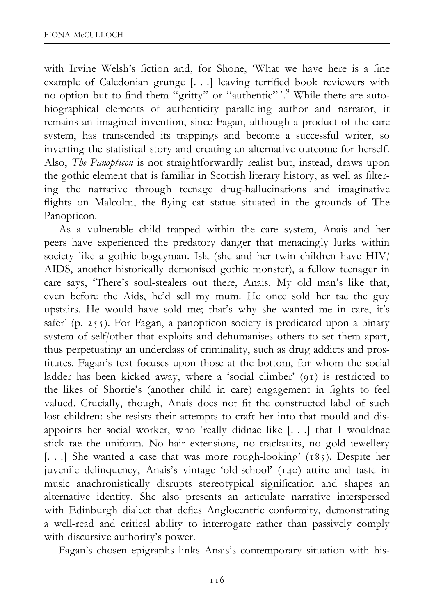with Irvine Welsh's fiction and, for Shone, 'What we have here is a fine example of Caledonian grunge [. . .] leaving terrified book reviewers with no option but to find them "gritty" or "authentic"'.<sup>9</sup> While there are autobiographical elements of authenticity paralleling author and narrator, it remains an imagined invention, since Fagan, although a product of the care system, has transcended its trappings and become a successful writer, so inverting the statistical story and creating an alternative outcome for herself. Also, The Panopticon is not straightforwardly realist but, instead, draws upon the gothic element that is familiar in Scottish literary history, as well as filtering the narrative through teenage drug-hallucinations and imaginative flights on Malcolm, the flying cat statue situated in the grounds of The Panopticon.

As a vulnerable child trapped within the care system, Anais and her peers have experienced the predatory danger that menacingly lurks within society like a gothic bogeyman. Isla (she and her twin children have HIV/ AIDS, another historically demonised gothic monster), a fellow teenager in care says, 'There's soul-stealers out there, Anais. My old man's like that, even before the Aids, he'd sell my mum. He once sold her tae the guy upstairs. He would have sold me; that's why she wanted me in care, it's safer' (p. 255). For Fagan, a panopticon society is predicated upon a binary system of self/other that exploits and dehumanises others to set them apart, thus perpetuating an underclass of criminality, such as drug addicts and prostitutes. Fagan's text focuses upon those at the bottom, for whom the social ladder has been kicked away, where a 'social climber' (91) is restricted to the likes of Shortie's (another child in care) engagement in fights to feel valued. Crucially, though, Anais does not fit the constructed label of such lost children: she resists their attempts to craft her into that mould and disappoints her social worker, who 'really didnae like [. . .] that I wouldnae stick tae the uniform. No hair extensions, no tracksuits, no gold jewellery [...] She wanted a case that was more rough-looking' (185). Despite her juvenile delinquency, Anais's vintage 'old-school' (140) attire and taste in music anachronistically disrupts stereotypical signification and shapes an alternative identity. She also presents an articulate narrative interspersed with Edinburgh dialect that defies Anglocentric conformity, demonstrating a well-read and critical ability to interrogate rather than passively comply with discursive authority's power.

Fagan's chosen epigraphs links Anais's contemporary situation with his-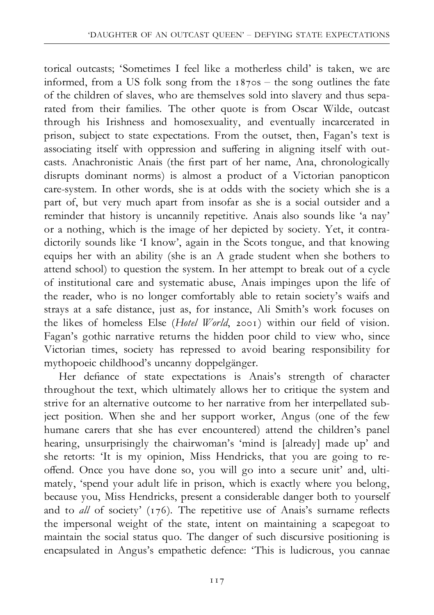torical outcasts; 'Sometimes I feel like a motherless child' is taken, we are informed, from a US folk song from the  $187$ os - the song outlines the fate of the children of slaves, who are themselves sold into slavery and thus separated from their families. The other quote is from Oscar Wilde, outcast through his Irishness and homosexuality, and eventually incarcerated in prison, subject to state expectations. From the outset, then, Fagan's text is associating itself with oppression and suffering in aligning itself with outcasts. Anachronistic Anais (the first part of her name, Ana, chronologically disrupts dominant norms) is almost a product of a Victorian panopticon care-system. In other words, she is at odds with the society which she is a part of, but very much apart from insofar as she is a social outsider and a reminder that history is uncannily repetitive. Anais also sounds like 'a nay' or a nothing, which is the image of her depicted by society. Yet, it contradictorily sounds like 'I know', again in the Scots tongue, and that knowing equips her with an ability (she is an A grade student when she bothers to attend school) to question the system. In her attempt to break out of a cycle of institutional care and systematic abuse, Anais impinges upon the life of the reader, who is no longer comfortably able to retain society's waifs and strays at a safe distance, just as, for instance, Ali Smith's work focuses on the likes of homeless Else (Hotel World, 2001) within our field of vision. Fagan's gothic narrative returns the hidden poor child to view who, since Victorian times, society has repressed to avoid bearing responsibility for mythopoeic childhood's uncanny doppelgänger.

Her defiance of state expectations is Anais's strength of character throughout the text, which ultimately allows her to critique the system and strive for an alternative outcome to her narrative from her interpellated subject position. When she and her support worker, Angus (one of the few humane carers that she has ever encountered) attend the children's panel hearing, unsurprisingly the chairwoman's 'mind is [already] made up' and she retorts: 'It is my opinion, Miss Hendricks, that you are going to reoffend. Once you have done so, you will go into a secure unit' and, ultimately, 'spend your adult life in prison, which is exactly where you belong, because you, Miss Hendricks, present a considerable danger both to yourself and to *all* of society' ( $176$ ). The repetitive use of Anais's surname reflects the impersonal weight of the state, intent on maintaining a scapegoat to maintain the social status quo. The danger of such discursive positioning is encapsulated in Angus's empathetic defence: 'This is ludicrous, you cannae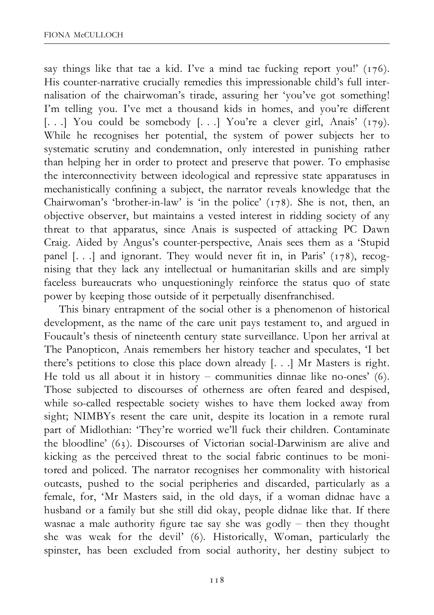say things like that tae a kid. I've a mind tae fucking report you!' (176). His counter-narrative crucially remedies this impressionable child's full internalisation of the chairwoman's tirade, assuring her 'you've got something! I'm telling you. I've met a thousand kids in homes, and you're different [...] You could be somebody [...] You're a clever girl, Anais' (179). While he recognises her potential, the system of power subjects her to systematic scrutiny and condemnation, only interested in punishing rather than helping her in order to protect and preserve that power. To emphasise the interconnectivity between ideological and repressive state apparatuses in mechanistically confining a subject, the narrator reveals knowledge that the Chairwoman's 'brother-in-law' is 'in the police' (178). She is not, then, an objective observer, but maintains a vested interest in ridding society of any threat to that apparatus, since Anais is suspected of attacking PC Dawn Craig. Aided by Angus's counter-perspective, Anais sees them as a 'Stupid panel [...] and ignorant. They would never fit in, in Paris' (178), recognising that they lack any intellectual or humanitarian skills and are simply faceless bureaucrats who unquestioningly reinforce the status quo of state power by keeping those outside of it perpetually disenfranchised.

This binary entrapment of the social other is a phenomenon of historical development, as the name of the care unit pays testament to, and argued in Foucault's thesis of nineteenth century state surveillance. Upon her arrival at The Panopticon, Anais remembers her history teacher and speculates, 'I bet there's petitions to close this place down already [. . .] Mr Masters is right. He told us all about it in history – communities dinnae like no-ones' (6). Those subjected to discourses of otherness are often feared and despised, while so-called respectable society wishes to have them locked away from sight; NIMBYs resent the care unit, despite its location in a remote rural part of Midlothian: 'They're worried we'll fuck their children. Contaminate the bloodline' (63). Discourses of Victorian social-Darwinism are alive and kicking as the perceived threat to the social fabric continues to be monitored and policed. The narrator recognises her commonality with historical outcasts, pushed to the social peripheries and discarded, particularly as a female, for, 'Mr Masters said, in the old days, if a woman didnae have a husband or a family but she still did okay, people didnae like that. If there wasnae a male authority figure tae say she was godly  $-$  then they thought she was weak for the devil' (6). Historically, Woman, particularly the spinster, has been excluded from social authority, her destiny subject to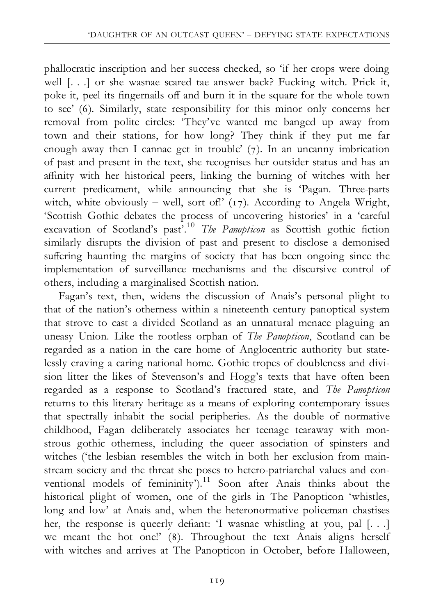phallocratic inscription and her success checked, so 'if her crops were doing well [. . .] or she wasnae scared tae answer back? Fucking witch. Prick it, poke it, peel its fingernails off and burn it in the square for the whole town to see' (6). Similarly, state responsibility for this minor only concerns her removal from polite circles: 'They've wanted me banged up away from town and their stations, for how long? They think if they put me far enough away then I cannae get in trouble' (7). In an uncanny imbrication of past and present in the text, she recognises her outsider status and has an affinity with her historical peers, linking the burning of witches with her current predicament, while announcing that she is 'Pagan. Three-parts witch, white obviously – well, sort of!' (17). According to Angela Wright, 'Scottish Gothic debates the process of uncovering histories' in a 'careful excavation of Scotland's past<sup>7.10</sup> The Panopticon as Scottish gothic fiction similarly disrupts the division of past and present to disclose a demonised suffering haunting the margins of society that has been ongoing since the implementation of surveillance mechanisms and the discursive control of others, including a marginalised Scottish nation.

Fagan's text, then, widens the discussion of Anais's personal plight to that of the nation's otherness within a nineteenth century panoptical system that strove to cast a divided Scotland as an unnatural menace plaguing an uneasy Union. Like the rootless orphan of The Panopticon, Scotland can be regarded as a nation in the care home of Anglocentric authority but statelessly craving a caring national home. Gothic tropes of doubleness and division litter the likes of Stevenson's and Hogg's texts that have often been regarded as a response to Scotland's fractured state, and The Panopticon returns to this literary heritage as a means of exploring contemporary issues that spectrally inhabit the social peripheries. As the double of normative childhood, Fagan deliberately associates her teenage tearaway with monstrous gothic otherness, including the queer association of spinsters and witches ('the lesbian resembles the witch in both her exclusion from mainstream society and the threat she poses to hetero-patriarchal values and conventional models of femininity').<sup>11</sup> Soon after Anais thinks about the historical plight of women, one of the girls in The Panopticon 'whistles, long and low' at Anais and, when the heteronormative policeman chastises her, the response is queerly defiant: 'I wasnae whistling at you, pal  $[...]$ we meant the hot one!' (8). Throughout the text Anais aligns herself with witches and arrives at The Panopticon in October, before Halloween,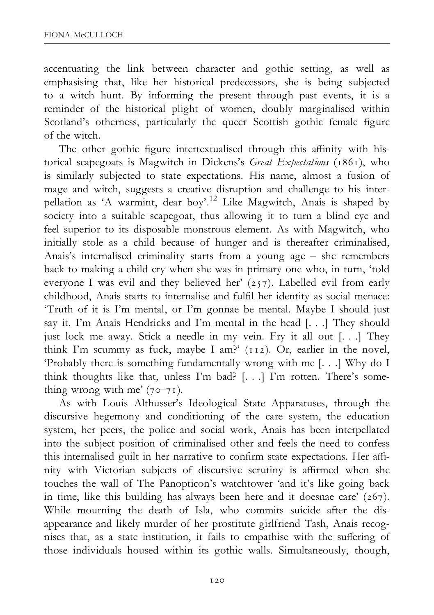accentuating the link between character and gothic setting, as well as emphasising that, like her historical predecessors, she is being subjected to a witch hunt. By informing the present through past events, it is a reminder of the historical plight of women, doubly marginalised within Scotland's otherness, particularly the queer Scottish gothic female figure of the witch.

The other gothic figure intertextualised through this affinity with historical scapegoats is Magwitch in Dickens's Great Expectations (1861), who is similarly subjected to state expectations. His name, almost a fusion of mage and witch, suggests a creative disruption and challenge to his interpellation as 'A warmint, dear boy'.12 Like Magwitch, Anais is shaped by society into a suitable scapegoat, thus allowing it to turn a blind eye and feel superior to its disposable monstrous element. As with Magwitch, who initially stole as a child because of hunger and is thereafter criminalised, Anais's internalised criminality starts from a young age  $-$  she remembers back to making a child cry when she was in primary one who, in turn, 'told everyone I was evil and they believed her' (257). Labelled evil from early childhood, Anais starts to internalise and fulfil her identity as social menace: 'Truth of it is I'm mental, or I'm gonnae be mental. Maybe I should just say it. I'm Anais Hendricks and I'm mental in the head [. . .] They should just lock me away. Stick a needle in my vein. Fry it all out [. . .] They think I'm scummy as fuck, maybe I am?' (112). Or, earlier in the novel, 'Probably there is something fundamentally wrong with me [. . .] Why do I think thoughts like that, unless I'm bad? [. . .] I'm rotten. There's something wrong with me'  $(70-71)$ .

As with Louis Althusser's Ideological State Apparatuses, through the discursive hegemony and conditioning of the care system, the education system, her peers, the police and social work, Anais has been interpellated into the subject position of criminalised other and feels the need to confess this internalised guilt in her narrative to confirm state expectations. Her affinity with Victorian subjects of discursive scrutiny is affirmed when she touches the wall of The Panopticon's watchtower 'and it's like going back in time, like this building has always been here and it doesnae care' (267). While mourning the death of Isla, who commits suicide after the disappearance and likely murder of her prostitute girlfriend Tash, Anais recognises that, as a state institution, it fails to empathise with the suffering of those individuals housed within its gothic walls. Simultaneously, though,

120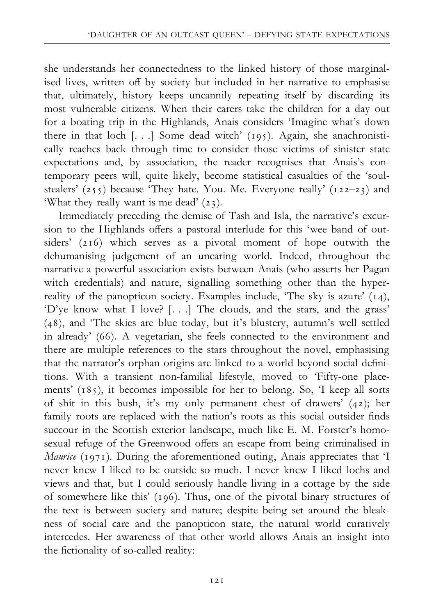she understands her connectedness to the linked history of those marginalised lives, written off by society but included in her narrative to emphasise that, ultimately, history keeps uncannily repeating itself by discarding its most vulnerable citizens. When their carers take the children for a day out for a boating trip in the Highlands, Anais considers 'Imagine what's down there in that loch [. . .] Some dead witch' (195). Again, she anachronistically reaches back through time to consider those victims of sinister state expectations and, by association, the reader recognises that Anais's contemporary peers will, quite likely, become statistical casualties of the 'soulstealers' (255) because 'They hate. You. Me. Everyone really' (122-23) and 'What they really want is me dead' (23).

Immediately preceding the demise of Tash and Isla, the narrative's excursion to the Highlands offers a pastoral interlude for this 'wee band of outsiders' (216) which serves as a pivotal moment of hope outwith the dehumanising judgement of an uncaring world. Indeed, throughout the narrative a powerful association exists between Anais (who asserts her Pagan witch credentials) and nature, signalling something other than the hyperreality of the panopticon society. Examples include, 'The sky is azure' (14), 'D'ye know what I love? [. . .] The clouds, and the stars, and the grass' (48), and 'The skies are blue today, but it's blustery, autumn's well settled in already' (66). A vegetarian, she feels connected to the environment and there are multiple references to the stars throughout the novel, emphasising that the narrator's orphan origins are linked to a world beyond social definitions. With a transient non-familial lifestyle, moved to 'Fifty-one placements' (185), it becomes impossible for her to belong. So, 'I keep all sorts of shit in this bush, it's my only permanent chest of drawers' (42); her family roots are replaced with the nation's roots as this social outsider finds succour in the Scottish exterior landscape, much like E. M. Forster's homosexual refuge of the Greenwood offers an escape from being criminalised in *Maurice* (1971). During the aforementioned outing, Anais appreciates that 'I never knew I liked to be outside so much. I never knew I liked lochs and views and that, but I could seriously handle living in a cottage by the side of somewhere like this' (196). Thus, one of the pivotal binary structures of the text is between society and nature; despite being set around the bleakness of social care and the panopticon state, the natural world curatively intercedes. Her awareness of that other world allows Anais an insight into the fictionality of so-called reality: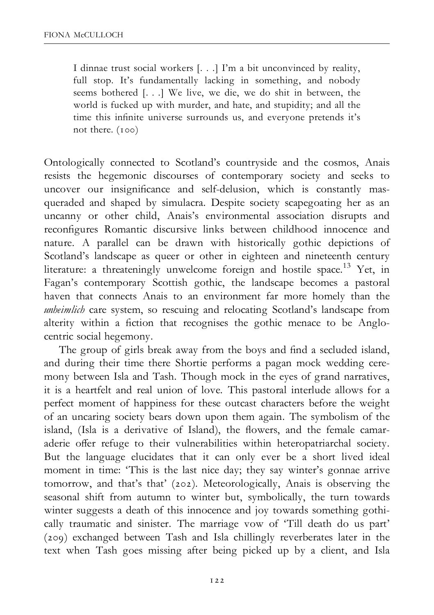I dinnae trust social workers [. . .] I'm a bit unconvinced by reality, full stop. It's fundamentally lacking in something, and nobody seems bothered [. . .] We live, we die, we do shit in between, the world is fucked up with murder, and hate, and stupidity; and all the time this infinite universe surrounds us, and everyone pretends it's not there. (100)

Ontologically connected to Scotland's countryside and the cosmos, Anais resists the hegemonic discourses of contemporary society and seeks to uncover our insignificance and self-delusion, which is constantly masqueraded and shaped by simulacra. Despite society scapegoating her as an uncanny or other child, Anais's environmental association disrupts and reconfigures Romantic discursive links between childhood innocence and nature. A parallel can be drawn with historically gothic depictions of Scotland's landscape as queer or other in eighteen and nineteenth century literature: a threateningly unwelcome foreign and hostile space.<sup>13</sup> Yet, in Fagan's contemporary Scottish gothic, the landscape becomes a pastoral haven that connects Anais to an environment far more homely than the unheimlich care system, so rescuing and relocating Scotland's landscape from alterity within a fiction that recognises the gothic menace to be Anglocentric social hegemony.

The group of girls break away from the boys and find a secluded island, and during their time there Shortie performs a pagan mock wedding ceremony between Isla and Tash. Though mock in the eyes of grand narratives, it is a heartfelt and real union of love. This pastoral interlude allows for a perfect moment of happiness for these outcast characters before the weight of an uncaring society bears down upon them again. The symbolism of the island, (Isla is a derivative of Island), the flowers, and the female camaraderie offer refuge to their vulnerabilities within heteropatriarchal society. But the language elucidates that it can only ever be a short lived ideal moment in time: 'This is the last nice day; they say winter's gonnae arrive tomorrow, and that's that' (202). Meteorologically, Anais is observing the seasonal shift from autumn to winter but, symbolically, the turn towards winter suggests a death of this innocence and joy towards something gothically traumatic and sinister. The marriage vow of 'Till death do us part' (209) exchanged between Tash and Isla chillingly reverberates later in the text when Tash goes missing after being picked up by a client, and Isla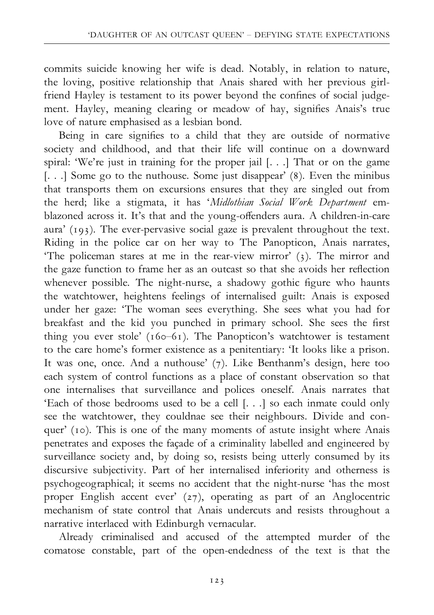commits suicide knowing her wife is dead. Notably, in relation to nature, the loving, positive relationship that Anais shared with her previous girlfriend Hayley is testament to its power beyond the confines of social judgement. Hayley, meaning clearing or meadow of hay, signifies Anais's true love of nature emphasised as a lesbian bond.

Being in care signifies to a child that they are outside of normative society and childhood, and that their life will continue on a downward spiral: 'We're just in training for the proper jail [. . .] That or on the game [...] Some go to the nuthouse. Some just disappear' (8). Even the minibus that transports them on excursions ensures that they are singled out from the herd; like a stigmata, it has 'Midlothian Social Work Department emblazoned across it. It's that and the young-offenders aura. A children-in-care aura' (193). The ever-pervasive social gaze is prevalent throughout the text. Riding in the police car on her way to The Panopticon, Anais narrates, 'The policeman stares at me in the rear-view mirror' (3). The mirror and the gaze function to frame her as an outcast so that she avoids her reflection whenever possible. The night-nurse, a shadowy gothic figure who haunts the watchtower, heightens feelings of internalised guilt: Anais is exposed under her gaze: 'The woman sees everything. She sees what you had for breakfast and the kid you punched in primary school. She sees the first thing you ever stole' ( $160-61$ ). The Panopticon's watchtower is testament to the care home's former existence as a penitentiary: 'It looks like a prison. It was one, once. And a nuthouse' (7). Like Benthanm's design, here too each system of control functions as a place of constant observation so that one internalises that surveillance and polices oneself. Anais narrates that 'Each of those bedrooms used to be a cell [. . .] so each inmate could only see the watchtower, they couldnae see their neighbours. Divide and conquer' (10). This is one of the many moments of astute insight where Anais penetrates and exposes the facade of a criminality labelled and engineered by surveillance society and, by doing so, resists being utterly consumed by its discursive subjectivity. Part of her internalised inferiority and otherness is psychogeographical; it seems no accident that the night-nurse 'has the most proper English accent ever' (27), operating as part of an Anglocentric mechanism of state control that Anais undercuts and resists throughout a narrative interlaced with Edinburgh vernacular.

Already criminalised and accused of the attempted murder of the comatose constable, part of the open-endedness of the text is that the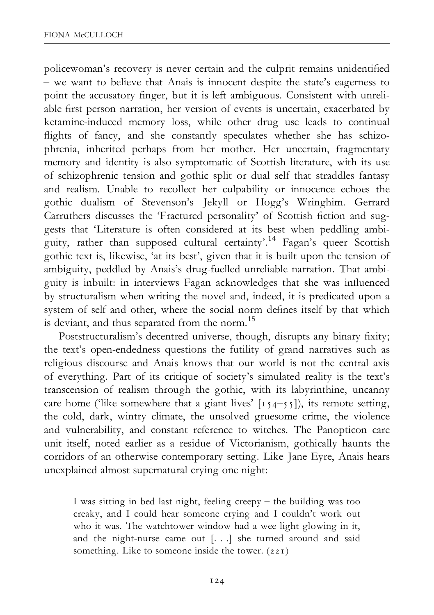policewoman's recovery is never certain and the culprit remains unidentified  $\frac{1}{x}$  we want to believe that Anais is innocent despite the state's eagerness to point the accusatory finger, but it is left ambiguous. Consistent with unreliable first person narration, her version of events is uncertain, exacerbated by ketamine-induced memory loss, while other drug use leads to continual flights of fancy, and she constantly speculates whether she has schizophrenia, inherited perhaps from her mother. Her uncertain, fragmentary memory and identity is also symptomatic of Scottish literature, with its use of schizophrenic tension and gothic split or dual self that straddles fantasy and realism. Unable to recollect her culpability or innocence echoes the gothic dualism of Stevenson's Jekyll or Hogg's Wringhim. Gerrard Carruthers discusses the 'Fractured personality' of Scottish fiction and suggests that 'Literature is often considered at its best when peddling ambiguity, rather than supposed cultural certainty'.<sup>14</sup> Fagan's queer Scottish gothic text is, likewise, 'at its best', given that it is built upon the tension of ambiguity, peddled by Anais's drug-fuelled unreliable narration. That ambiguity is inbuilt: in interviews Fagan acknowledges that she was influenced by structuralism when writing the novel and, indeed, it is predicated upon a system of self and other, where the social norm defines itself by that which is deviant, and thus separated from the norm.<sup>15</sup>

Poststructuralism's decentred universe, though, disrupts any binary fixity; the text's open-endedness questions the futility of grand narratives such as religious discourse and Anais knows that our world is not the central axis of everything. Part of its critique of society's simulated reality is the text's transcension of realism through the gothic, with its labyrinthine, uncanny care home ('like somewhere that a giant lives'  $[154-55]$ ), its remote setting, the cold, dark, wintry climate, the unsolved gruesome crime, the violence and vulnerability, and constant reference to witches. The Panopticon care unit itself, noted earlier as a residue of Victorianism, gothically haunts the corridors of an otherwise contemporary setting. Like Jane Eyre, Anais hears unexplained almost supernatural crying one night:

I was sitting in bed last night, feeling creepy  $-$  the building was too creaky, and I could hear someone crying and I couldn't work out who it was. The watchtower window had a wee light glowing in it, and the night-nurse came out [. . .] she turned around and said something. Like to someone inside the tower. (221)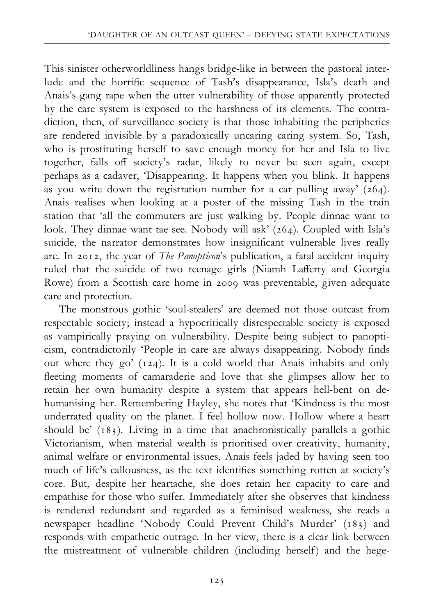This sinister otherworldliness hangs bridge-like in between the pastoral interlude and the horrific sequence of Tash's disappearance, Isla's death and Anais's gang rape when the utter vulnerability of those apparently protected by the care system is exposed to the harshness of its elements. The contradiction, then, of surveillance society is that those inhabiting the peripheries are rendered invisible by a paradoxically uncaring caring system. So, Tash, who is prostituting herself to save enough money for her and Isla to live together, falls off society's radar, likely to never be seen again, except perhaps as a cadaver, 'Disappearing. It happens when you blink. It happens as you write down the registration number for a car pulling away'  $(264)$ . Anais realises when looking at a poster of the missing Tash in the train station that 'all the commuters are just walking by. People dinnae want to look. They dinnae want tae see. Nobody will ask' (264). Coupled with Isla's suicide, the narrator demonstrates how insignificant vulnerable lives really are. In 2012, the year of The Panopticon's publication, a fatal accident inquiry ruled that the suicide of two teenage girls (Niamh Lafferty and Georgia Rowe) from a Scottish care home in 2009 was preventable, given adequate care and protection.

The monstrous gothic 'soul-stealers' are deemed not those outcast from respectable society; instead a hypocritically disrespectable society is exposed as vampirically praying on vulnerability. Despite being subject to panopticism, contradictorily 'People in care are always disappearing. Nobody finds out where they go' (124). It is a cold world that Anais inhabits and only fleeting moments of camaraderie and love that she glimpses allow her to retain her own humanity despite a system that appears hell-bent on dehumanising her. Remembering Hayley, she notes that 'Kindness is the most underrated quality on the planet. I feel hollow now. Hollow where a heart should be' (183). Living in a time that anachronistically parallels a gothic Victorianism, when material wealth is prioritised over creativity, humanity, animal welfare or environmental issues, Anais feels jaded by having seen too much of life's callousness, as the text identifies something rotten at society's core. But, despite her heartache, she does retain her capacity to care and empathise for those who suffer. Immediately after she observes that kindness is rendered redundant and regarded as a feminised weakness, she reads a newspaper headline 'Nobody Could Prevent Child's Murder' (183) and responds with empathetic outrage. In her view, there is a clear link between the mistreatment of vulnerable children (including herself) and the hege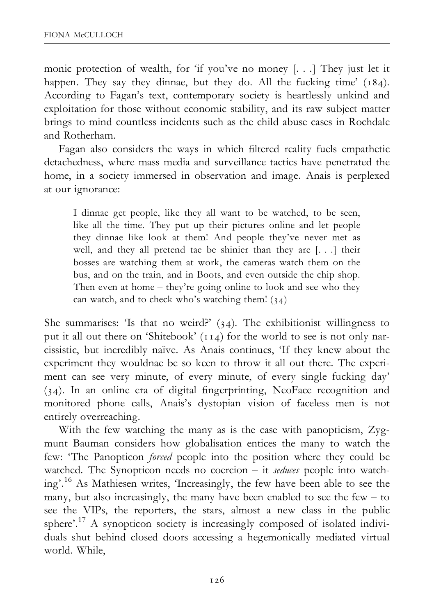monic protection of wealth, for 'if you've no money [. . .] They just let it happen. They say they dinnae, but they do. All the fucking time' (184). According to Fagan's text, contemporary society is heartlessly unkind and exploitation for those without economic stability, and its raw subject matter brings to mind countless incidents such as the child abuse cases in Rochdale and Rotherham.

Fagan also considers the ways in which filtered reality fuels empathetic detachedness, where mass media and surveillance tactics have penetrated the home, in a society immersed in observation and image. Anais is perplexed at our ignorance:

I dinnae get people, like they all want to be watched, to be seen, like all the time. They put up their pictures online and let people they dinnae like look at them! And people they've never met as well, and they all pretend tae be shinier than they are [. . .] their bosses are watching them at work, the cameras watch them on the bus, and on the train, and in Boots, and even outside the chip shop. Then even at home  $-$  they're going online to look and see who they can watch, and to check who's watching them!  $(34)$ 

She summarises: 'Is that no weird?'  $(34)$ . The exhibitionist willingness to put it all out there on 'Shitebook' (114) for the world to see is not only narcissistic, but incredibly naïve. As Anais continues, 'If they knew about the experiment they wouldnae be so keen to throw it all out there. The experiment can see very minute, of every minute, of every single fucking day' (34). In an online era of digital ¢ngerprinting, NeoFace recognition and monitored phone calls, Anais's dystopian vision of faceless men is not entirely overreaching.

With the few watching the many as is the case with panopticism, Zygmunt Bauman considers how globalisation entices the many to watch the few: 'The Panopticon forced people into the position where they could be watched. The Synopticon needs no coercion  $-$  it seduces people into watching'.16 As Mathiesen writes, 'Increasingly, the few have been able to see the many, but also increasingly, the many have been enabled to see the few  $-$  to see the VIPs, the reporters, the stars, almost a new class in the public sphere'.<sup>17</sup> A synopticon society is increasingly composed of isolated individuals shut behind closed doors accessing a hegemonically mediated virtual world. While,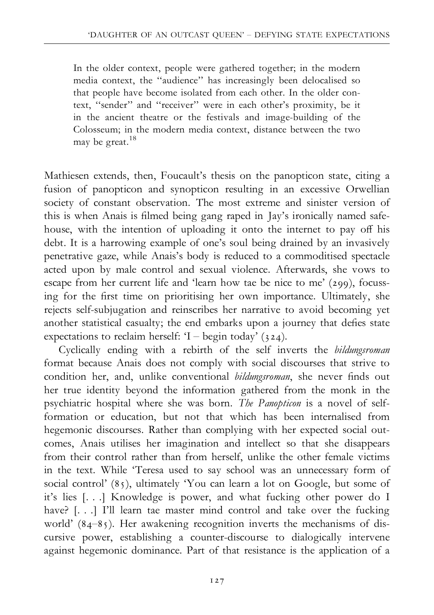In the older context, people were gathered together; in the modern media context, the ''audience'' has increasingly been delocalised so that people have become isolated from each other. In the older context, ''sender'' and ''receiver'' were in each other's proximity, be it in the ancient theatre or the festivals and image-building of the Colosseum; in the modern media context, distance between the two may be great.<sup>18</sup>

Mathiesen extends, then, Foucault's thesis on the panopticon state, citing a fusion of panopticon and synopticon resulting in an excessive Orwellian society of constant observation. The most extreme and sinister version of this is when Anais is filmed being gang raped in Jay's ironically named safehouse, with the intention of uploading it onto the internet to pay off his debt. It is a harrowing example of one's soul being drained by an invasively penetrative gaze, while Anais's body is reduced to a commoditised spectacle acted upon by male control and sexual violence. Afterwards, she vows to escape from her current life and 'learn how tae be nice to me' (299), focussing for the first time on prioritising her own importance. Ultimately, she rejects self-subjugation and reinscribes her narrative to avoid becoming yet another statistical casualty; the end embarks upon a journey that defies state expectations to reclaim herself: 'I – begin today' (324).

Cyclically ending with a rebirth of the self inverts the bildungsroman format because Anais does not comply with social discourses that strive to condition her, and, unlike conventional *bildungsroman*, she never finds out her true identity beyond the information gathered from the monk in the psychiatric hospital where she was born. The Panopticon is a novel of selfformation or education, but not that which has been internalised from hegemonic discourses. Rather than complying with her expected social outcomes, Anais utilises her imagination and intellect so that she disappears from their control rather than from herself, unlike the other female victims in the text. While 'Teresa used to say school was an unnecessary form of social control' (85), ultimately 'You can learn a lot on Google, but some of it's lies [. . .] Knowledge is power, and what fucking other power do I have? [...] I'll learn tae master mind control and take over the fucking world'  $(84-85)$ . Her awakening recognition inverts the mechanisms of discursive power, establishing a counter-discourse to dialogically intervene against hegemonic dominance. Part of that resistance is the application of a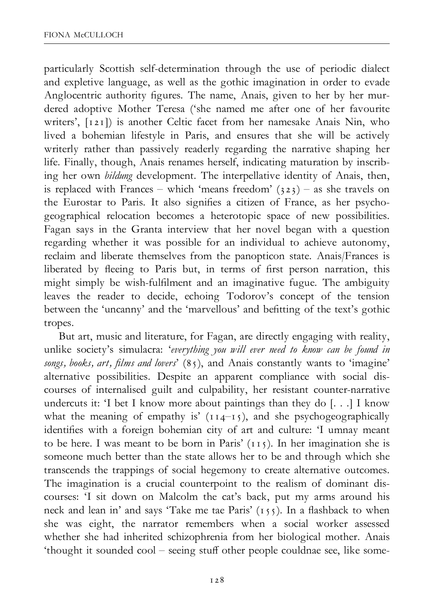particularly Scottish self-determination through the use of periodic dialect and expletive language, as well as the gothic imagination in order to evade Anglocentric authority figures. The name, Anais, given to her by her murdered adoptive Mother Teresa ('she named me after one of her favourite writers', [121]) is another Celtic facet from her namesake Anais Nin, who lived a bohemian lifestyle in Paris, and ensures that she will be actively writerly rather than passively readerly regarding the narrative shaping her life. Finally, though, Anais renames herself, indicating maturation by inscribing her own bildung development. The interpellative identity of Anais, then, is replaced with Frances – which 'means freedom'  $(323)$  – as she travels on the Eurostar to Paris. It also signifies a citizen of France, as her psychogeographical relocation becomes a heterotopic space of new possibilities. Fagan says in the Granta interview that her novel began with a question regarding whether it was possible for an individual to achieve autonomy, reclaim and liberate themselves from the panopticon state. Anais/Frances is liberated by fleeing to Paris but, in terms of first person narration, this might simply be wish-fulfilment and an imaginative fugue. The ambiguity leaves the reader to decide, echoing Todorov's concept of the tension between the 'uncanny' and the 'marvellous' and befitting of the text's gothic tropes.

But art, music and literature, for Fagan, are directly engaging with reality, unlike society's simulacra: 'everything you will ever need to know can be found in songs, books, art, films and lovers'  $(85)$ , and Anais constantly wants to 'imagine' alternative possibilities. Despite an apparent compliance with social discourses of internalised guilt and culpability, her resistant counter-narrative undercuts it: 'I bet I know more about paintings than they do [. . .] I know what the meaning of empathy is'  $(114-15)$ , and she psychogeographically identifies with a foreign bohemian city of art and culture: 'I umnay meant to be here. I was meant to be born in Paris' (115). In her imagination she is someone much better than the state allows her to be and through which she transcends the trappings of social hegemony to create alternative outcomes. The imagination is a crucial counterpoint to the realism of dominant discourses: 'I sit down on Malcolm the cat's back, put my arms around his neck and lean in' and says 'Take me tae Paris'  $(155)$ . In a flashback to when she was eight, the narrator remembers when a social worker assessed whether she had inherited schizophrenia from her biological mother. Anais 'thought it sounded cool - seeing stuff other people couldnae see, like some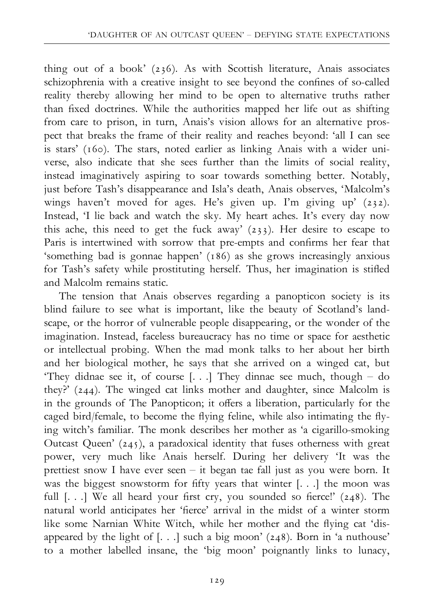thing out of a book' (236). As with Scottish literature, Anais associates schizophrenia with a creative insight to see beyond the confines of so-called reality thereby allowing her mind to be open to alternative truths rather than fixed doctrines. While the authorities mapped her life out as shifting from care to prison, in turn, Anais's vision allows for an alternative prospect that breaks the frame of their reality and reaches beyond: 'all I can see is stars' (160). The stars, noted earlier as linking Anais with a wider universe, also indicate that she sees further than the limits of social reality, instead imaginatively aspiring to soar towards something better. Notably, just before Tash's disappearance and Isla's death, Anais observes, 'Malcolm's wings haven't moved for ages. He's given up. I'm giving up' (232). Instead, 'I lie back and watch the sky. My heart aches. It's every day now this ache, this need to get the fuck away' (233). Her desire to escape to Paris is intertwined with sorrow that pre-empts and confirms her fear that 'something bad is gonnae happen' (186) as she grows increasingly anxious for Tash's safety while prostituting herself. Thus, her imagination is stifled and Malcolm remains static.

The tension that Anais observes regarding a panopticon society is its blind failure to see what is important, like the beauty of Scotland's landscape, or the horror of vulnerable people disappearing, or the wonder of the imagination. Instead, faceless bureaucracy has no time or space for aesthetic or intellectual probing. When the mad monk talks to her about her birth and her biological mother, he says that she arrived on a winged cat, but 'They didnae see it, of course  $[...]$  They dinnae see much, though - do they?' (244). The winged cat links mother and daughter, since Malcolm is in the grounds of The Panopticon; it offers a liberation, particularly for the caged bird/female, to become the flying feline, while also intimating the flying witch's familiar. The monk describes her mother as 'a cigarillo-smoking Outcast Queen' (245), a paradoxical identity that fuses otherness with great power, very much like Anais herself. During her delivery 'It was the prettiest snow I have ever seen ^ it began tae fall just as you were born. It was the biggest snowstorm for fifty years that winter  $[...]$  the moon was full  $[...]$  We all heard your first cry, you sounded so fierce!' (248). The natural world anticipates her 'fierce' arrival in the midst of a winter storm like some Narnian White Witch, while her mother and the flying cat 'disappeared by the light of [. . .] such a big moon' (248). Born in 'a nuthouse' to a mother labelled insane, the 'big moon' poignantly links to lunacy,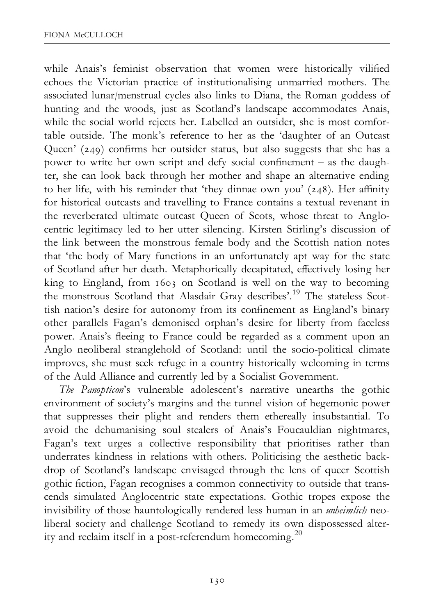while Anais's feminist observation that women were historically vilified echoes the Victorian practice of institutionalising unmarried mothers. The associated lunar/menstrual cycles also links to Diana, the Roman goddess of hunting and the woods, just as Scotland's landscape accommodates Anais, while the social world rejects her. Labelled an outsider, she is most comfortable outside. The monk's reference to her as the 'daughter of an Outcast Queen' (249) confirms her outsider status, but also suggests that she has a power to write her own script and defy social confinement  $-$  as the daughter, she can look back through her mother and shape an alternative ending to her life, with his reminder that 'they dinnae own you' (248). Her affinity for historical outcasts and travelling to France contains a textual revenant in the reverberated ultimate outcast Queen of Scots, whose threat to Anglocentric legitimacy led to her utter silencing. Kirsten Stirling's discussion of the link between the monstrous female body and the Scottish nation notes that 'the body of Mary functions in an unfortunately apt way for the state of Scotland after her death. Metaphorically decapitated, effectively losing her king to England, from 1603 on Scotland is well on the way to becoming the monstrous Scotland that Alasdair Gray describes'.19 The stateless Scottish nation's desire for autonomy from its confinement as England's binary other parallels Fagan's demonised orphan's desire for liberty from faceless power. Anais's fleeing to France could be regarded as a comment upon an Anglo neoliberal stranglehold of Scotland: until the socio-political climate improves, she must seek refuge in a country historically welcoming in terms of the Auld Alliance and currently led by a Socialist Government.

The Panopticon's vulnerable adolescent's narrative unearths the gothic environment of society's margins and the tunnel vision of hegemonic power that suppresses their plight and renders them ethereally insubstantial. To avoid the dehumanising soul stealers of Anais's Foucauldian nightmares, Fagan's text urges a collective responsibility that prioritises rather than underrates kindness in relations with others. Politicising the aesthetic backdrop of Scotland's landscape envisaged through the lens of queer Scottish gothic fiction, Fagan recognises a common connectivity to outside that transcends simulated Anglocentric state expectations. Gothic tropes expose the invisibility of those hauntologically rendered less human in an *unheimlich* neoliberal society and challenge Scotland to remedy its own dispossessed alterity and reclaim itself in a post-referendum homecoming.<sup>20</sup>